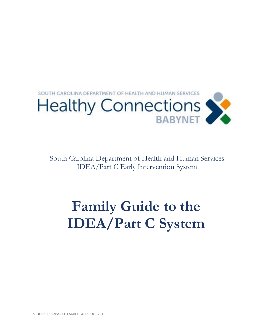

South Carolina Department of Health and Human Services IDEA/Part C Early Intervention System

## **Family Guide to the IDEA/Part C System**

SCDHHS IDEA/PART C FAMILY GUIDE OCT 2019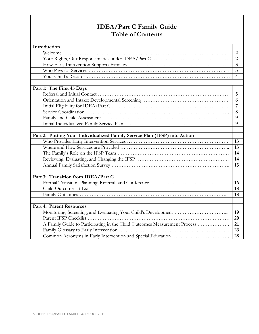## **IDEA/Part C Family Guide Table of Contents**

| Introduction |                                                                            |                         |  |  |
|--------------|----------------------------------------------------------------------------|-------------------------|--|--|
|              |                                                                            | $\overline{2}$          |  |  |
|              |                                                                            | $\overline{2}$          |  |  |
|              |                                                                            | $\overline{\mathbf{3}}$ |  |  |
|              |                                                                            | $\overline{\mathbf{3}}$ |  |  |
|              |                                                                            | $\overline{4}$          |  |  |
|              |                                                                            |                         |  |  |
|              | Part 1: The First 45 Days                                                  |                         |  |  |
|              |                                                                            | 5                       |  |  |
|              |                                                                            | 6                       |  |  |
|              |                                                                            | $\overline{7}$          |  |  |
|              |                                                                            | 8                       |  |  |
|              |                                                                            | 9                       |  |  |
|              |                                                                            | 9                       |  |  |
|              |                                                                            |                         |  |  |
|              | Part 2: Putting Your Individualized Family Service Plan (IFSP) into Action |                         |  |  |
|              |                                                                            | 13                      |  |  |
|              |                                                                            | 13                      |  |  |
|              |                                                                            | 14                      |  |  |
|              |                                                                            | 14                      |  |  |
|              |                                                                            | 15                      |  |  |
|              |                                                                            |                         |  |  |
|              | Part 3: Transition from IDEA/Part C                                        |                         |  |  |
|              |                                                                            | 16                      |  |  |
|              | Child Outcomes at Exit                                                     | 18                      |  |  |
|              |                                                                            | 18                      |  |  |
|              |                                                                            |                         |  |  |
|              | <b>Part 4: Parent Resources</b>                                            |                         |  |  |
|              |                                                                            | 19                      |  |  |
|              |                                                                            | 20                      |  |  |
|              | A Family Guide to Participating in the Child Outcomes Measurement Process  | 21                      |  |  |
|              |                                                                            | 23                      |  |  |
|              |                                                                            | 28                      |  |  |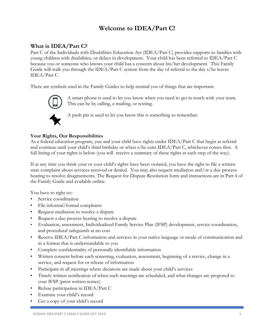## **Welcome to IDEA/Part C!**

## **What is IDEA/Part C?**

Part C of the Individuals with Disabilities Education Act (IDEA/Part C) provides supports to families with young children with disabilities, or delays in development. Your child has been referred to IDEA/Part C because you or someone who knows your child has a concern about his/her development. This Family Guide will walk you through the IDEA/Part C system from the day of referral to the day s/he leaves IDEA/Part C.

There are symbols used in the Family Guides to help remind you of things that are important.



A smart phone is used to let you know when you need to get in touch with your team. This can be by calling, e-mailing, or texting.



A push pin is used to let you know this is something to remember.

## **Your Rights, Our Responsibilities**

As a federal education program, you and your child have rights under IDEA/Part C that begin at referral and continue until your child's third birthday or when s/he exits IDEA/Part C, whichever comes first. A full listing of your rights is below (you will receive a summary of these rights at each step of the way).

If at any time you think your or your child's rights have been violated, you have the right to file a written state complaint about services received or denied. You may also request mediation and/or a due process hearing to resolve disagreements. The Request for Dispute Resolution form and instructions are in Part 4 of the Family Guide and available online.

You have to right to::

- Service coordination
- File informal/formal complaints
- Request mediation to resolve a dispute
- Request a due process hearing to resolve a dispute
- Evaluation, assessment, Individualized Family Service Plan (IFSP) development, service coordination, and procedural safeguards at no cost
- Receive IDEA/Part C information and services in your native language or mode of communication and in a format that is understandable to you
- Complete confidentiality of personally identifiable information
- Written consent before each screening, evaluation, assessment, beginning of a service, change in a service, and request for or release of information
- Participate in all meetings where decisions are made about your child's services
- Timely written notification of when such meetings are scheduled, and what changes are proposed to your IFSP (prior written notice)
- Refuse participation in IDEA/Part C
- Examine your child's record
- Get a copy of your child's record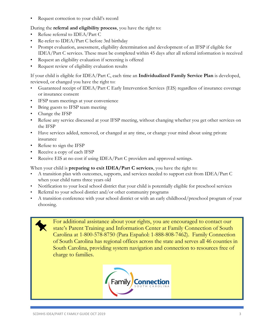Request correction to your child's record

During the **referral and eligibility process**, you have the right to:

- Refuse referral to IDEA/Part C
- Re-refer to IDEA/Part C before 3rd birthday
- Prompt evaluation, assessment, eligibility determination and development of an IFSP if eligible for IDEA/Part C services. These must be completed within 45 days after all referral information is received
- Request an eligibility evaluation if screening is offered
- Request review of eligibility evaluation results

If your child is eligible for IDEA/Part C, each time an **Individualized Family Service Plan** is developed, reviewed, or changed you have the right to:

- Guaranteed receipt of IDEA/Part C Early Intervention Services (EIS) regardless of insurance coverage or insurance consent
- IFSP team meetings at your convenience
- Bring guests to IFSP team meeting
- Change the IFSP
- Refuse any service discussed at your IFSP meeting, without changing whether you get other services on the IFSP
- Have services added, removed, or changed at any time, or change your mind about using private insurance
- Refuse to sign the IFSP
- Receive a copy of each IFSP
- Receive EIS at no cost if using IDEA/Part C providers and approved settings.

When your child is **preparing to exit IDEA/Part C services**, you have the right to:

- A transition plan with outcomes, supports, and services needed to support exit from IDEA/Part C when your child turns three years old
- Notification to your local school district that your child is potentially eligible for preschool services
- Referral to your school district and/or other community programs
- A transition conference with your school district or with an early childhood/preschool program of your choosing.

For additional assistance about your rights, you are encouraged to contact our state's Parent Training and Information Center at Family Connection of South Carolina at 1-800-578-8750 (Para Español: 1-888-808-7462). Family Connection of South Carolina has regional offices across the state and serves all 46 counties in South Carolina, providing system navigation and connection to resources free of charge to families.

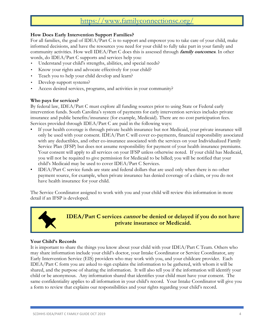## <https://www.familyconnectionsc.org/>

## **How Does Early Intervention Support Families?**

For all families, the goal of IDEA/Part C is to support and empower you to take care of your child, make informed decisions, and have the resources you need for your child to fully take part in your family and community activities. How well IDEA/Part C does this is assessed through **family outcomes**. In other words, do IDEA/Part C supports and services help you:

- Understand your child's strengths, abilities, and special needs?
- Know your rights and advocate effectively for your child?
- Teach you to help your child develop and learn?
- Develop support systems?
- Access desired services, programs, and activities in your community?

## **Who pays for services?**

By federal law, IDEA/Part C must explore all funding sources prior to using State or Federal early intervention funds. South Carolina's system of payments for early intervention services includes private insurance and public benefits/insurance (for example, Medicaid). There are no cost participation fees. Services provided through IDEA/Part C are paid in the following ways:

- If your health coverage is through private health insurance but not Medicaid, your private insurance will only be used with your consent. IDEA/Part C will cover co-payments, financial responsibility associated with any deductibles, and other co-insurance associated with the services on your Individualized Family Service Plan (IFSP) but does not assume responsibility for payment of your health insurance premiums. Your consent will apply to all services on your IFSP unless otherwise noted. If your child has Medicaid, you will not be required to give permission for Medicaid to be billed; you will be notified that your child's Medicaid may be used to cover IDEA/Part C Services.
- IDEA/Part C service funds are state and federal dollars that are used only when there is no other payment source, for example, when private insurance has denied coverage of a claim, or you do not have health insurance for your child.

The Service Coordinator assigned to work with you and your child will review this information in more detail if an IFSP is developed.



**IDEA/Part C services cannot be denied or delayed if you do not have private insurance or Medicaid.**

## **Your Child's Records**

It is important to share the things you know about your child with your IDEA/Part C Team. Others who may share information include your child's doctor, your Intake Coordinator or Service Coordinator, any Early Intervention Service (EIS) providers who may work with you, and your childcare provider. Each IDEA/Part C form you are asked to sign explains the information to be gathered, with whom it will be shared, and the purpose of sharing the information. It will also tell you if the information will identify your child or be anonymous. Any information shared that identifies your child must have your consent. The same confidentiality applies to all information in your child's record. Your Intake Coordinator will give you a form to review that explains our responsibilities and your rights regarding your child's record.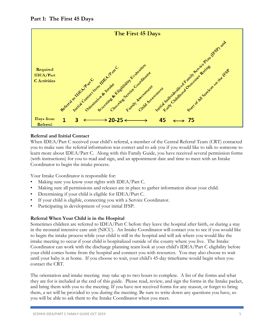

When IDEA/Part C received your child's referral, a member of the Central Referral Team (CRT) contacted you to make sure the referral information was correct and to ask you if you would like to talk to someone to learn more about IDEA/Part C. Along with this Family Guide, you have received several permission forms (with instructions) for you to read and sign, and an appointment date and time to meet with an Intake Coordinator to begin the intake process.

Your Intake Coordinator is responsible for:

- Making sure you know your rights with IDEA/Part C.
- Making sure all permissions and releases are in place to gather information about your child.
- Determining if your child is eligible for IDEA/Part C.
- If your child is eligible, connecting you with a Service Coordinator.
- Participating in development of your initial IFSP.

## **Referral When Your Child is in the Hospital**

Sometimes children are referred to IDEA/Part C before they leave the hospital after birth, or during a stay in the neonatal intensive care unit (NICU). An Intake Coordinator will contact you to see if you would like to begin the intake process while your child is still in the hospital and will ask where you would like the intake meeting to occur if your child is hospitalized outside of the county where you live. The Intake Coordinator can work with the discharge planning team look at your child's IDEA/Part C eligibility before your child comes home from the hospital and connect you with resources. You may also choose to wait until your baby is at home. If you choose to wait, your child's 45-day timeframe would begin when you contact the CRT.

The orientation and intake meeting may take up to two hours to complete. A list of the forms and what they are for is included at the end of this guide. Please read, review, and sign the forms in the Intake packet, and bring them with you to the meeting. If you have not received forms for any reason, or forget to bring them, a set will be provided to you during the meeting. Be sure to write down any questions you have, so you will be able to ask them to the Intake Coordinator when you meet.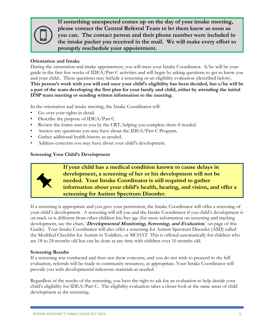

**If something unexpected comes up on the day of your intake meeting, please contact the Central Referral Team to let them know as soon as you can. The contact person and their phone number were included in the intake packet you received in the mail. We will make every effort to promptly reschedule your appointment.** 

## **Orientation and Intake**

During the orientation and intake appointment, you will meet your Intake Coordinator. S/he will be your guide in the first few weeks of IDEA/Part C activities and will begin by asking questions to get to know you and your child.. These questions may include a screening or an eligibility evaluation (described below). **This person's work with you will end once your child's eligibility has been decided, but s/he will be a part of the team developing the first plan for your family and child, either by attending the initial IFSP team meeting or sending written information to the meeting.** 

In the orientation and intake meeting, the Intake Coordinator will:

- Go over your rights in detail.
- Describe the purpose of IDEA/Part C.
- Review the forms sent to you by the CRT, helping you complete them if needed.
- Answer any questions you may have about the IDEA/Part C Program.
- Gather additional health history as needed.
- Address concerns you may have about your child's development.

## **Screening Your Child's Development**



**If your child has a medical condition known to cause delays in development, a screening of her or his development will not be needed. Your Intake Coordinator is still required to gather information about your child's health, hearing, and vision, and offer a screening for Autism Spectrum Disorder.**

If a screening is appropriate and you gave your permission, the Intake Coordinator will offer a screening of your child's development. A screening will tell you and the Intake Coordinator if you child's development is on track or is different from other children his/her age (for more information on screening and tracking development, see the chart, '**Developmental Monitoring, Screening, and Evaluation**,' on page of this Guide). Your Intake Coordinator will also offer a screening for Autism Spectrum Disorder (ASD) called the Modified Checklist for Autism in Toddlers, or MCHAT This is offered automatically for children who are 18 to 24 months old but can be done at any time with children over 16 months old.

## **Screening Results**

If a screening was conducted and does not show concerns, and you do not wish to proceed to the full evaluation, referrals will be made to community resources, as appropriate. Your Intake Coordinator will provide you with developmental milestone materials as needed.

Regardless of the results of the screening, you have the right to ask for an evaluation to help decide your child's eligibility for IDEA/Part C. The eligibility evaluation takes a closer look at the same areas of child development as the screening.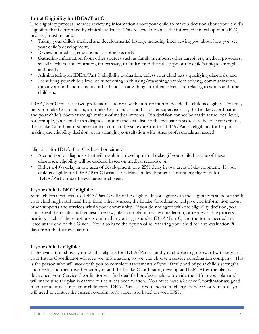## **Initial Eligibility for IDEA/Part C**

The eligibility process includes reviewing information about your child to make a decision about your child's eligibility that is informed by clinical evidence. This review, known as the informed clinical opinion (ICO) process, must include:

- Taking your child's medical and developmental history, including interviewing you about how you see your child's development;
- Reviewing medical, educational, or other records.
- Gathering information from other sources such as family members, other caregivers, medical providers, social workers, and educators, if necessary, to understand the full scope of the child's unique strengths and needs;
- Administering an IDEA/Part C eligibility evaluation, unless your child has a qualifying diagnosis; and
- Identifying your child's level of functioning in thinking/reasoning/problem-solving, communication, moving around and using his or his hands, doing things for themselves, and relating to adults and other children..

IDEA/Part C must use two professionals to review the information to decide if a child is eligible. This may be two Intake Coordinators, an Intake Coordinator and his or her supervisor; or, the Intake Coordinator and your child's doctor through review of medical records. If a decision cannot be made at the local level, for example, your child has a diagnosis not on the state list, or the evaluation scores are below state criteria, the Intake Coordinator supervisor will contact the state director for IDEA/Part C eligibility for help in making the eligibility decision, or in arranging consultation with other professionals as needed.

Eligibility for IDEA/Part C is based on either:

- A condition or diagnosis that will result in a developmental delay (if your child has one of these diagnoses, eligibility will be decided based on medical records); or
- Either a 40% delay in one area of development, or a 25% delay in two areas of development. If your child is eligible for IDEA/Part C because of delays in development, continuing eligibility for IDEA/Part C must be evaluated each year.

## **If your child is NOT eligible:**

Some children referred to IDEA/Part C will not be eligible. If you agree with the eligibility results but think your child might still need help from other sources, the Intake Coordinator will give you information about other supports and services within your community. If you do not agree with the eligibility decision, you can appeal the results and request a review, file a complaint, request mediation, or request a due process hearing. Each of these options is outlined in your rights under IDEA/Part C, and the forms needed are listed at the end of this Guide. You also have the option of re-referring your child for a re-evaluation 90 days from the first evaluation.

## **If your child is eligible:**

If the evaluation shows your child is eligible for IDEA/Part C, and you choose to go forward with services, your Intake Coordinator will give you information, so you can choose a service coordination company. This is the person who will work with you to complete assessments of your family and of your child's strengths and needs, and then together with you and the Intake Coordinator, develop an IFSP. After the plan is developed, your Service Coordinator will find qualified professionals to provide the EIS in your plan and will make sure the plan is carried out as it has been written. You must have a Service Coordinator assigned to you at all times, until your child exits IDEA/Part C. If you choose to change Service Coordinators, you will need to contact the current coordinator's supervisor listed on your IFSP.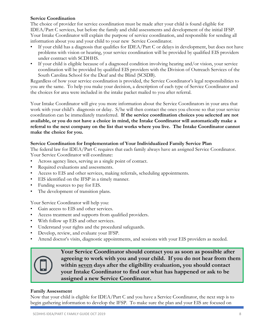## **Service Coordination**

The choice of provider for service coordination must be made after your child is found eligible for IDEA/Part C services, but before the family and child assessments and development of the initial IFSP. Your Intake Coordinator will explain the purpose of service coordination, and responsible for sending all information about you and your child to your new Service Coordinator.

- If your child has a diagnosis that qualifies for IDEA/Part C or delays in development, but does not have problems with vision or hearing, your service coordination will be provided by qualified EIS providers under contract with SCDHHS.
- If your child is eligible because of a diagnosed condition involving hearing and/or vision, your service coordination will be provided by qualified EIS providers with the Division of Outreach Services of the South Carolina School for the Deaf and the Blind (SCSDB).

Regardless of how your service coordination is provided, the Service Coordinator's legal responsibilities to you are the same. To help you make your decision, a description of each type of Service Coordinator and the choices for area were included in the intake packet mailed to you after referral.

Your Intake Coordinator will give you more information about the Service Coordinators in your area that work with your child's diagnosis or delay. S/he will then contact the ones you choose so that your service coordination can be immediately transferred. **If the service coordination choices you selected are not available, or you do not have a choice in mind, the Intake Coordinator will automatically make a referral to the next company on the list that works where you live. The Intake Coordinator cannot make the choice for you.**

## **Service Coordination for Implementation of Your Individualized Family Service Plan**

The federal law for IDEA/Part C requires that each family always have an assigned Service Coordinator. Your Service Coordinator will coordinate:

- Across agency lines, serving as a single point of contact.
- Required evaluations and assessments.
- Access to EIS and other services, making referrals, scheduling appointments.
- EIS identified on the IFSP in a timely manner.
- Funding sources to pay for EIS.
- The development of transition plans.

Your Service Coordinator will help you:

- Gain access to EIS and other services.
- Access treatment and supports from qualified providers.
- With follow up EIS and other services.
- Understand your rights and the procedural safeguards.
- Develop, review, and evaluate your IFSP.
- Attend doctor's visits, diagnostic appointments, and sessions with your EIS providers as needed.

|--|

**Your Service Coordinator should contact you as soon as possible after agreeing to work with you and your child. If you do not hear from them within seven days after the eligibility evaluation, you should contact your Intake Coordinator to find out what has happened or ask to be assigned a new Service Coordinator.**

## **Family Assessment**

Now that your child is eligible for IDEA/Part C and you have a Service Coordinator, the next step is to begin gathering information to develop the IFSP. To make sure the plan and your EIS are focused on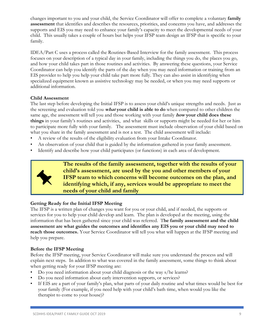changes important to you and your child, the Service Coordinator will offer to complete a voluntary **family assessment** that identifies and describes the resources, priorities, and concerns you have, and addresses the supports and EIS you may need to enhance your family's capacity to meet the developmental needs of your child. This usually takes a couple of hours but helps your IFSP team design an IFSP that is specific to your family.

IDEA/Part C uses a process called the Routines-Based Interview for the family assessment. This process focuses on your description of a typical day in your family, including the things you do, the places you go, and how your child takes part in those routines and activities. By answering these questions, your Service Coordinator can help you identify the parts of the day when you may need information or training from an EIS provider to help you help your child take part more fully. They can also assist in identifying when specialized equipment known as assistive technology may be needed, or when you may need supports or additional information.

## **Child Assessment**

The last step before developing the Initial IFSP is to assess your child's unique strengths and needs. Just as the screening and evaluation told you **what your child is able to do** when compared to other children the same age, the assessment will tell you and those working with your family **how your child does these things** in your family's routines and activities, and what skills or supports might be needed for her or him to participate more fully with your family. The assessment must include observation of your child based on what you share in the family assessment and is not a test. The child assessment will include:

- A review of the results of the eligibility evaluation from your Intake Coordinator.
- An observation of your child that is guided by the information gathered in your family assessment.
- Identify and describe how your child participates (or functions) in each area of development.



**The results of the family assessment, together with the results of your child's assessment, are used by the you and other members of your IFSP team to which concerns will become outcomes on the plan, and identifying which, if any, services would be appropriate to meet the needs of your child and family**

## **Getting Ready for the Initial IFSP Meeting**

The IFSP is a written plan of changes you want for you or your child, and if needed, the supports or services for you to help your child develop and learn. The plan is developed at the meeting, using the information that has been gathered since your child was referred. T**he family assessment and the child assessment are what guides the outcomes and identifies any EIS you or your child may need to reach those outcomes.** Your Service Coordinator will tell you what will happen at the IFSP meeting and help you prepare.

## **Before the IFSP Meeting**

Before the IFSP meeting, your Service Coordinator will make sure you understand the process and will explain next steps. In addition to what was covered in the family assessment, some things to think about when getting ready for your IFSP meeting are:

- Do you need information about your child diagnosis or the way s/he learns?
- Do you need information about early intervention supports, or services?
- If EIS are a part of your family's plan, what parts of your daily routine and what times would be best for your family (For example, if you need help with your child's bath time, when would you like the therapist to come to your house)?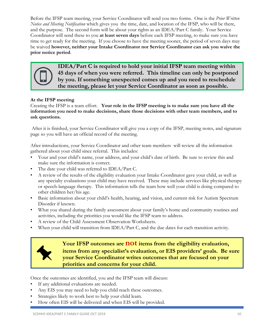Before the IFSP team meeting, your Service Coordinator will send you two forms. One is the *Prior Written Notice and Meeting Notification* which gives you the time, date, and location of the IFSP, who will be there, and the purpose. The second form will be about your rights as an IDEA/Part C family. Your Service Coordinator will send these to you **at least seven days** before each IFSP meeting, to make sure you have time to get ready for the meeting. If you choose to have the meeting sooner, the period of seven days may be waived **however, neither your Intake Coordinator nor Service Coordinator can ask you waive the prior notice period**.



**IDEA/Part C is required to hold your initial IFSP team meeting within 45 days of when you were referred. This timeline can only be postponed by you. If something unexpected comes up and you need to reschedule the meeting, please let your Service Coordinator as soon as possible.** 

## **At the IFSP meeting**

Creating the IFSP is a team effort. **Your role in the IFSP meeting is to make sure you have all the information you need to make decisions, share those decisions with other team members, and to ask questions.**

After it is finished, your Service Coordinator will give you a copy of the IFSP, meeting notes, and signature page so you will have an official record of the meeting.

After introductions, your Service Coordinator and other team members will review all the information gathered about your child since referral. This includes:

- Your and your child's name, your address, and your child's date of birth. Be sure to review this and make sure the information is correct.
- The date your child was referred to IDEA/Part C.
- A review of the results of the eligibility evaluation your Intake Coordinator gave your child, as well as any specialty evaluations your child may have received. These may include services like physical therapy or speech-language therapy. This information tells the team how well your child is doing compared to other children her/his age.
- Basic information about your child's health, hearing, and vision, and current risk for Autism Spectrum Disorder if known.
- What you shared during the family assessment about your family's home and community routines and activities, including the priorities you would like the IFSP team to address.
- A review of the Child Assessment Observation Worksheets.
- When your child will transition from IDEA/Part C, and the due dates for each transition activity.



**Your IFSP outcomes are not items from the eligibility evaluation, items from any specialist's evaluation, or EIS providers' goals. Be sure your Service Coordinator writes outcomes that are focused on your priorities and concerns for your child.**

Once the outcomes are identified, you and the IFSP team will discuss:

- If any additional evaluations are needed.
- Any EIS you may need to help you child reach these outcomes.
- Strategies likely to work best to help your child learn.
- How often EIS will be delivered and when EIS will be provided.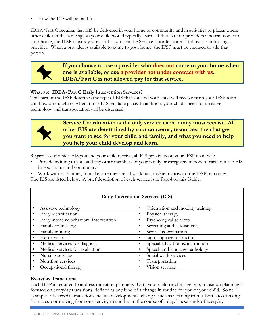• How the EIS will be paid for.

IDEA/Part C requires that EIS be delivered in your home or community and in activities or places where other children the same age as your child would typically learn. If there are no providers who can come to your home, the IFSP must say why, and how often the Service Coordinator will follow-up in finding a provider. When a provider is available to come to your home, the IFSP must be changed to add that person.



**If you choose to use a provider who does not come to your home when one is available, or use a provider not under contract with us, IDEA/Part C is not allowed pay for that service.**

## **What are IDEA/Part C Early Intervention Services?**

This part of the IFSP describes the type of EIS that you and your child will receive from your IFSP team, and how often, where, when, those EIS will take place. In addition, your child's need for assistive technology and transportation will be discussed.



**Service Coordination is the only service each family must receive. All other EIS are determined by your concerns, resources, the changes you want to see for your child and family, and what you need to help you help your child develop and learn.** 

Regardless of which EIS you and your child receive, all EIS providers on your IFSP team will:

• Provide training to you, and any other members of your family or caregivers in how to carry out the EIS in your home and community.

• Work with each other, to make sure they are all working consistently toward the IFSP outcomes.

The EIS are listed below. A brief description of each service is in Part 4 of this Guide.

|           | Assistive technology                    | Orientation and mobility training |
|-----------|-----------------------------------------|-----------------------------------|
|           | Early identification                    | Physical therapy                  |
|           | Early intensive behavioral intervention | Psychological services            |
|           | Family counseling                       | Screening and assessment          |
|           | Family training                         | Service coordination              |
|           | Home visits                             | Sign language instruction         |
| $\bullet$ | Medical services for diagnosis          | Special education & instruction   |
|           | Medical services for evaluation         | Speech and language pathology     |
|           | Nursing services                        | Social work services              |
|           | Nutrition services                      | Transportation                    |
|           | Occupational therapy                    | Vision services                   |

## **Early Intervention Services (EIS)**

## **Everyday Transitions**

Each IFSP is required to address transition planning. Until your child reaches age two, transition planning is focused on everyday transitions, defined as any kind of a change in routine for you or your child. Some examples of everyday transitions include developmental changes such as weaning from a bottle to drinking from a cup or moving from one activity to another in the course of a day. These kinds of everyday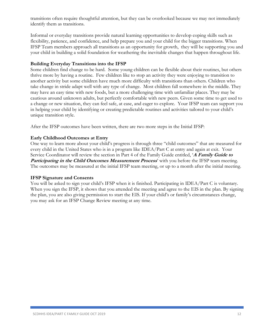transitions often require thoughtful attention, but they can be overlooked because we may not immediately identify them as transitions.

Informal or everyday transitions provide natural learning opportunities to develop coping skills such as flexibility, patience, and confidence, and help prepare you and your child for the bigger transitions. When IFSP Team members approach all transitions as an opportunity for growth, they will be supporting you and your child in building a solid foundation for weathering the inevitable changes that happen throughout life.

#### **Building Everyday Transitions into the IFSP**

Some children find change to be hard. Some young children can be flexible about their routines, but others thrive more by having a routine. Few children like to stop an activity they were enjoying to transition to another activity but some children have much more difficulty with transitions than others. Children who take change in stride adapt well with any type of change. Most children fall somewhere in the middle. They may have an easy time with new foods, but a more challenging time with unfamiliar places. They may be cautious around unknown adults, but perfectly comfortable with new peers. Given some time to get used to a change or new situation, they can feel safe, at ease, and eager to explore. Your IFSP team can support you in helping your child by identifying or creating predictable routines and activities tailored to your child's unique transition style.

After the IFSP outcomes have been written, there are two more steps in the Initial IFSP:

## **Early Childhood Outcomes at Entry**

One way to learn more about your child's progress is through three "child outcomes" that are measured for every child in the United States who is in a program like IDEA/Part C at entry and again at exit. Your Service Coordinator will review the section in Part 4 of the Family Guide entitled, '**A Family Guide to Participating in the Child Outcomes Measurement Process'** with you before the IFSP team meeting. The outcomes may be measured at the initial IFSP team meeting, or up to a month after the initial meeting.

#### **IFSP Signature and Consents**

You will be asked to sign your child's IFSP when it is finished. Participating in IDEA/Part C is voluntary. When you sign the IFSP, it shows that you attended the meeting and agree to the EIS in the plan. By signing the plan, you are also giving permission to start the EIS. If your child's or family's circumstances change, you may ask for an IFSP Change Review meeting at any time.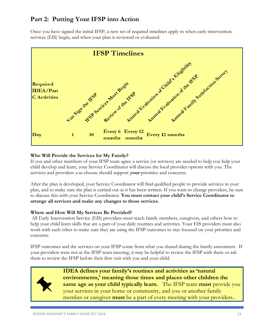## **Part 2: Putting Your IFSP into Action**

Once you have signed the initial IFSP, a new set of required timelines apply to when early intervention services (EIS) begin, and when your plan is reviewed or evaluated.



## **Who Will Provide the Services for My Family?**

If you and other members of your IFSP team agree a service (or services) are needed to help you help your child develop and learn, your Service Coordinator will discuss the local provider options with you. The services and providers you choose should support **your** priorities and concerns.

After the plan is developed, your Service Coordinator will find qualified people to provide services in your plan, and to make sure the plan is carried out as it has been written. If you want to change providers, be sure to discuss this with your Service Coordinator. **You must contact your child's Service Coordinator to arrange all services and make any changes to those services.** 

## **Where and How Will My Services Be Provided?**

All Early Intervention Service (EIS) providers must teach family members, caregivers, and others how to help your child learn skills that are a part of your daily routines and activities. Your EIS providers must also work with each other to make sure they are using the IFSP outcomes to stay focused on your priorities and concerns.

IFSP outcomes and the services on your IFSP come from what you shared during the family assessment. If your providers were not at the IFSP team meeting, it may be helpful to review the IFSP with them or ask them to review the IFSP before their first visit with you and your child.



**IDEA defines your family's routines and activities as 'natural environments,' meaning those times and places other children the same age as your child typically learn.** The IFSP team **must** provide you your services in your home or community, and you or another family member or caregiver **must** be a part of every meeting with your providers..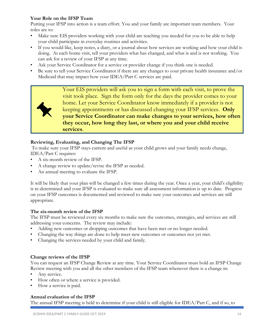## **Your Role on the IFSP Team**

Putting your IFSP into action is a team effort. You and your family are important team members. Your roles are to:

- Make sure EIS providers working with your child are teaching you needed for you to be able to help your child participate in everyday routines and activities.
- If you would like, keep notes, a diary, or a journal about how services are working and how your child is doing. At each home visit, tell your providers what has changed, and what is and is not working. You can ask for a review of your IFSP at any time.
- Ask your Service Coordinator for a service or provider change if you think one is needed.
- Be sure to tell your Service Coordinator if there are any changes to your private health insurance and/or Medicaid that may impact how your IDEA/Part C services are paid.

Your EIS providers will ask you to sign a form with each visit, to prove the visit took place. Sign the form only for the days the provider comes to your home. Let your Service Coordinator know immediately if a provider is not keeping appointments or has discussed changing your IFSP services. **Only your Service Coordinator can make changes to your services, how often they occur, how long they last, or where you and your child receive services**.

## **Reviewing, Evaluating, and Changing The IFSP**

To make sure your IFSP stays current and useful as your child grows and your family needs change, IDEA/Part C requires:

- A six-month review of the IFSP.
- A change review to update/revise the IFSP as needed.
- An annual meeting to evaluate the IFSP.

It will be likely that your plan will be changed a few times during the year. Once a year, your child's eligibility is re-determined and your IFSP is evaluated to make sure all assessment information is up to date. Progress on your IFSP outcomes is documented and reviewed to make sure your outcomes and services are still appropriate.

## **The six-month review of the IFSP**

The IFSP must be reviewed every six months to make sure the outcomes, strategies, and services are still addressing your concerns. The review may include:

- Adding new outcomes or dropping outcomes that have been met or no longer needed.
- Changing the way things are done to help meet new outcomes or outcomes not yet met.
- Changing the services needed by your child and family.

## **Change reviews of the IFSP**

You can request an IFSP Change Review at any time. Your Service Coordinator must hold an IFSP Change Review meeting with you and all the other members of the IFSP team whenever there is a change in:

- Any service.
- How often or where a service is provided.
- How a service is paid.

## **Annual evaluation of the IFSP**

The annual IFSP meeting is held to determine if your child is still eligible for IDEA/Part C, and if so, to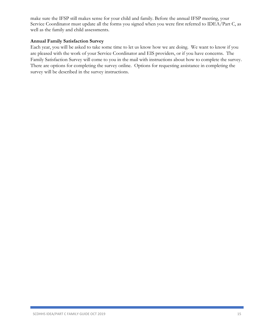make sure the IFSP still makes sense for your child and family. Before the annual IFSP meeting, your Service Coordinator must update all the forms you signed when you were first referred to IDEA/Part C, as well as the family and child assessments.

## **Annual Family Satisfaction Survey**

Each year, you will be asked to take some time to let us know how we are doing. We want to know if you are pleased with the work of your Service Coordinator and EIS providers, or if you have concerns. The Family Satisfaction Survey will come to you in the mail with instructions about how to complete the survey. There are options for completing the survey online. Options for requesting assistance in completing the survey will be described in the survey instructions.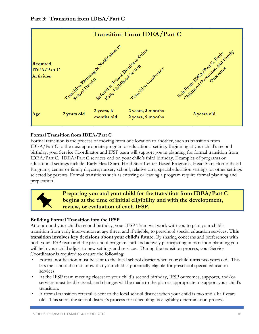## **Part 3: Transition from IDEA/Part C**



## **Formal Transition from IDEA/Part C**

Formal transition is the process of moving from one location to another, such as transition from IDEA/Part C to the next appropriate program or educational setting. Beginning at your child's second birthday, your Service Coordinator and IFSP team will support you in planning for formal transition from IDEA/Part C. IDEA/Part C services end on your child's third birthday. Examples of programs or educational settings include: Early Head Start, Head Start Center-Based Programs, Head Start Home-Based Programs, center or family daycare, nursery school, relative care, special education settings, or other settings selected by parents. Formal transitions such as entering or leaving a program require formal planning and preparation.



**Preparing you and your child for the transition from IDEA/Part C begins at the time of initial eligibility and with the development, review, or evaluation of each IFSP.**

## **Building Formal Transition into the IFSP**

At or around your child's second birthday, your IFSP Team will work with you to plan your child's transition from early intervention at age three, and if eligible, to preschool special education services**. This transition involves key decisions about your child's future.** By sharing concerns and preferences with both your IFSP team and the preschool program staff and actively participating in transition planning you will help your child adjust to new settings and services. During the transition process, your Service Coordinator is required to ensure the following:

- Formal notification must be sent to the local school district when your child turns two years old. This lets the school district know that your child is potentially eligible for preschool special education services.
- At the IFSP team meeting closest to your child's second birthday, IFSP outcomes, supports, and/or services must be discussed, and changes will be made to the plan as appropriate to support your child's transition.
- A formal transition referral is sent to the local school district when your child is two and a half years old. This starts the school district's process for scheduling its eligibility determination process.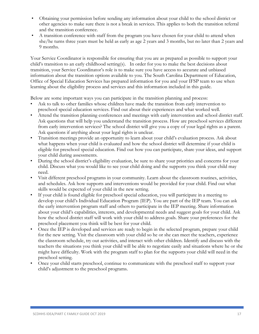- Obtaining your permission before sending any information about your child to the school district or other agencies to make sure there is not a break in services. This applies to both the transition referral and the transition conference.
- A transition conference with staff from the program you have chosen for your child to attend when she/he turns three years must be held as early as age 2 years and 3 months, but no later than 2 years and 9 months.

Your Service Coordinator is responsible for ensuring that you are as prepared as possible to support your child's transition to an early childhood setting(s). In order for you to make the best decisions about transition, your Service Coordinator's role is to make sure you have access to accurate and unbiased information about the transition options available to you. The South Carolina Department of Education, Office of Special Education Services has prepared information for you and your IFSP team to use when learning about the eligibility process and services and this information included in this guide.

Below are some important ways you can participate in the transition planning and process:

- Ask to talk to other families whose children have made the transition from early intervention to preschool special education services. Find out about their experiences and what worked well.
- Attend the transition planning conferences and meetings with early intervention and school district staff. Ask questions that will help you understand the transition process. How are preschool services different from early intervention services? The school district will give you a copy of your legal rights as a parent. Ask questions if anything about your legal rights is unclear.
- Transition meetings provide an opportunity to learn about your child's evaluation process. Ask about what happens when your child is evaluated and how the school district will determine if your child is eligible for preschool special education. Find out how you can participate, share your ideas, and support your child during assessments.
- During the school district's eligibility evaluation, be sure to share your priorities and concerns for your child. Discuss what you would like to see your child doing and the supports you think your child may need.
- Visit different preschool programs in your community. Learn about the classroom routines, activities, and schedules. Ask how supports and interventions would be provided for your child. Find out what skills would be expected of your child in the new setting.
- If your child is found eligible for preschool special education, you will participate in a meeting to develop your child's Individual Education Program (IEP). You are part of the IEP team. You can ask the early intervention program staff and others to participate in the IEP meeting. Share information about your child's capabilities, interests, and developmental needs and suggest goals for your child. Ask how the school district staff will work with your child to address goals. Share your preferences for the preschool placement you think will be best for your child.
- Once the IEP is developed and services are ready to begin in the selected program, prepare your child for the new setting. Visit the classroom with your child so he or she can meet the teachers, experience the classroom schedule, try out activities, and interact with other children. Identify and discuss with the teachers the situations you think your child will be able to negotiate easily and situations where he or she might have difficulty. Work with the program staff to plan for the supports your child will need in the preschool setting.
- Once your child starts preschool, continue to communicate with the preschool staff to support your child's adjustment to the preschool programs.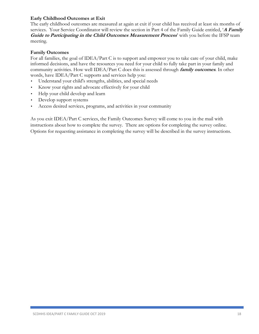## **Early Childhood Outcomes at Exit**

The early childhood outcomes are measured at again at exit if your child has received at least six months of services. Your Service Coordinator will review the section in Part 4 of the Family Guide entitled, '**A Family Guide to Participating in the Child Outcomes Measurement Process'** with you before the IFSP team meeting.

## **Family Outcomes**

For all families, the goal of IDEA/Part C is to support and empower you to take care of your child, make informed decisions, and have the resources you need for your child to fully take part in your family and community activities. How well IDEA/Part C does this is assessed through **family outcomes**. In other words, have IDEA/Part C supports and services help you:

- Understand your child's strengths, abilities, and special needs
- Know your rights and advocate effectively for your child
- Help your child develop and learn
- Develop support systems
- Access desired services, programs, and activities in your community

As you exit IDEA/Part C services, the Family Outcomes Survey will come to you in the mail with instructions about how to complete the survey. There are options for completing the survey online. Options for requesting assistance in completing the survey will be described in the survey instructions.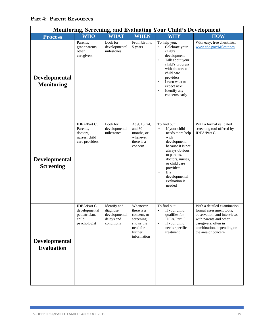| <b>Monitoring, Screening, and Evaluating Your Child's Development</b> |                                                                         |                                                                       |                                                                                                       |                                                                                                                                                                                                                                                                |                                                                                                                                                                                               |  |  |
|-----------------------------------------------------------------------|-------------------------------------------------------------------------|-----------------------------------------------------------------------|-------------------------------------------------------------------------------------------------------|----------------------------------------------------------------------------------------------------------------------------------------------------------------------------------------------------------------------------------------------------------------|-----------------------------------------------------------------------------------------------------------------------------------------------------------------------------------------------|--|--|
| <b>Process</b>                                                        | <b>WHO</b>                                                              | <b>WHAT</b>                                                           | <b>WHEN</b>                                                                                           | <b>WHY</b>                                                                                                                                                                                                                                                     | <b>HOW</b>                                                                                                                                                                                    |  |  |
| <b>Developmental</b><br><b>Monitoring</b>                             | Parents,<br>grandparents,<br>other<br>caregivers                        | Look for<br>developmental<br>milestones                               | From birth to<br>5 years                                                                              | To help you:<br>Celebrate your<br>٠<br>child's<br>development<br>Talk about your<br>$\bullet$<br>child's progress<br>with doctors and<br>child care<br>providers<br>Learn what to<br>$\bullet$<br>expect next<br>Identify any<br>$\bullet$<br>concerns early   | With easy, free checklists:<br>www.cdc.gov/Milestones                                                                                                                                         |  |  |
| <b>Developmental</b><br><b>Screening</b>                              | IDEA/Part C,<br>Parents.<br>doctors,<br>nurses, child<br>care providers | Look for<br>developmental<br>milestones                               | At 9, 18, 24,<br>and 30<br>months, or<br>whenever<br>there is a<br>concern                            | To find out:<br>If your child<br>$\bullet$<br>needs more help<br>with<br>development,<br>because it is not<br>always obvious<br>to parents,<br>doctors, nurses,<br>or child care<br>providers<br>If a<br>$\bullet$<br>developmental<br>evaluation is<br>needed | With a formal validated<br>screening tool offered by<br><b>IDEA/Part C</b>                                                                                                                    |  |  |
| <b>Developmental</b><br><b>Evaluation</b>                             | IDEA/Part C,<br>developmental<br>pediatrician,<br>child<br>psychologist | Identify and<br>diagnose<br>developmental<br>delays and<br>conditions | Whenever<br>there is a<br>concern, or<br>screening<br>shows the<br>need for<br>further<br>information | To find out:<br>If your child<br>$\bullet$<br>qualifies for<br><b>IDEA/Part C</b><br>If your child<br>$\bullet$<br>needs specific<br>treatment                                                                                                                 | With a detailed examination,<br>formal assessment tools,<br>observation, and interviews<br>with parents and other<br>caregivers, often in<br>combination, depending on<br>the area of concern |  |  |

## **Part 4: Parent Resources**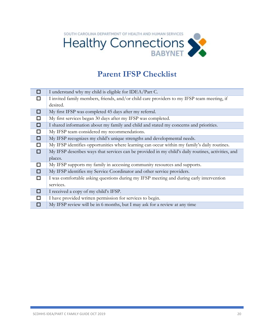

## **Parent IFSP Checklist**

| □      | I understand why my child is eligible for IDEA/Part C.                                             |
|--------|----------------------------------------------------------------------------------------------------|
| П      | I invited family members, friends, and/or child care providers to my IFSP team meeting, if         |
|        | desired.                                                                                           |
| □      | My first IFSP was completed 45 days after my referral.                                             |
| □      | My first services began 30 days after my IFSP was completed.                                       |
| $\Box$ | I shared information about my family and child and stated my concerns and priorities.              |
| $\Box$ | My IFSP team considered my recommendations.                                                        |
| $\Box$ | My IFSP recognizes my child's unique strengths and developmental needs.                            |
| □      | My IFSP identifies opportunities where learning can occur within my family's daily routines.       |
| $\Box$ | My IFSP describes ways that services can be provided in my child's daily routines, activities, and |
|        | places.                                                                                            |
| □      | My IFSP supports my family in accessing community resources and supports.                          |
| □      | My IFSP identifies my Service Coordinator and other service providers.                             |
| □      | I was comfortable asking questions during my IFSP meeting and during early intervention            |
|        | services.                                                                                          |
| □      | I received a copy of my child's IFSP.                                                              |
| □      | I have provided written permission for services to begin.                                          |
| □      | My IFSP review will be in 6 months, but I may ask for a review at any time                         |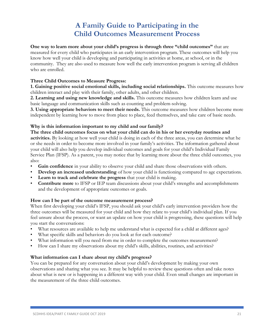## **A Family Guide to Participating in the Child Outcomes Measurement Process**

**One way to learn more about your child's progress is through three "child outcomes"** that are measured for every child who participates in an early intervention program. These outcomes will help you know how well your child is developing and participating in activities at home, at school, or in the community. They are also used to measure how well the early intervention program is serving all children who are enrolled.

## **Three Child Outcomes to Measure Progress:**

**1. Gaining positive social emotional skills, including social relationships.** This outcome measures how children interact and play with their family, other adults, and other children.

**2. Learning and using new knowledge and skills.** This outcome measures how children learn and use basic language and communication skills such as counting and problem-solving.

**3. Using appropriate behaviors to meet their needs.** This outcome measures how children become more independent by learning how to move from place to place, feed themselves, and take care of basic needs.

## **Why is this information important to my child and our family?**

**The three child outcomes focus on what your child can do in his or her everyday routines and activities.** By looking at how well your child is doing in each of the three areas, you can determine what he or she needs in order to become more involved in your family's activities. The information gathered about your child will also help you develop individual outcomes and goals for your child's Individual Family Service Plan (IFSP). As a parent, you may notice that by learning more about the three child outcomes, you also:

- **Gain confidence** in your ability to observe your child and share those observations with others.
- **Develop an increased understanding** of how your child is functioning compared to age expectations.
- **Learn to track and celebrate the progress** that your child is making.
- **Contribute more** to IFSP or IEP team discussions about your child's strengths and accomplishments and the development of appropriate outcomes or goals.

## **How can I be part of the outcome measurement process?**

When first developing your child's IFSP, you should ask your child's early intervention providers how the three outcomes will be measured for your child and how they relate to your child's individual plan. If you feel unsure about the process, or want an update on how your child is progressing, these questions will help you start the conversations:

- What resources are available to help me understand what is expected for a child at different ages?
- What specific skills and behaviors do you look at for each outcome?
- What information will you need from me in order to complete the outcomes measurement?
- How can I share my observations about my child's skills, abilities, routines, and activities?

## **What information can I share about my child's progress?**

You can be prepared for any conversation about your child's development by making your own observations and sharing what you see. It may be helpful to review these questions often and take notes about what is new or is happening in a different way with your child. Even small changes are important in the measurement of the three child outcomes.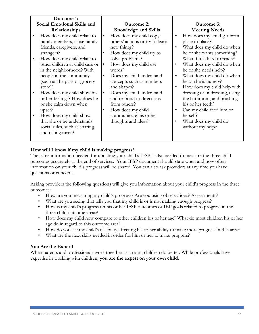## **How will I know if my child is making progress?**

The same information needed for updating your child's IFSP is also needed to measure the three child outcomes accurately at the end of services. Your IFSP document should state when and how often information on your child's progress will be shared. You can also ask providers at any time you have questions or concerns.

Asking providers the following questions will give you information about your child's progress in the three outcomes:

- How are you measuring my child's progress? Are you using observations? Assessments?
- What are you seeing that tells you that my child is or is not making enough progress?
- How is my child's progress on his or her IFSP outcomes or IEP goals related to progress in the three child outcome areas?
- How does my child now compare to other children his or her age? What do most children his or her age do in regard to this outcome area?
- How do you see my child's disability affecting his or her ability to make more progress in this area?
- What are the next skills needed in order for him or her to make progress?

## **You Are the Expert!**

When parents and professionals work together as a team, children do better. While professionals have expertise in working with children, **you are the expert on your own child**.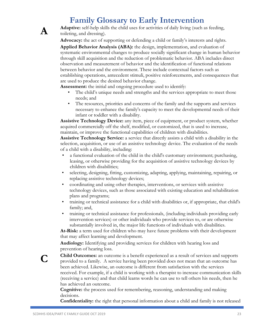## **Family Glossary to Early Intervention**



**Adaptive:** self-help skills the child uses for activities of daily living (such as feeding, toileting, and dressing).

**Advocacy:** the act of supporting or defending a child or family's interests and rights.

**Applied Behavior Analysis (ABA):** the design, implementation, and evaluation of systematic environmental changes to produce socially significant change in human behavior through skill acquisition and the reduction of problematic behavior. ABA includes direct observation and measurement of behavior and the identification of functional relations between behavior and the environment. These include contextual factors such as establishing operations, antecedent stimuli, positive reinforcements, and consequences that are used to produce the desired behavior change.

**Assessment:** the initial and ongoing procedure used to identify:

- The child's unique needs and strengths and the services appropriate to meet those needs; and
- The resources, priorities and concerns of the family and the supports and services necessary to enhance the family's capacity to meet the developmental needs of their infant or toddler with a disability.

**Assistive Technology Device:** any item, piece of equipment, or product system, whether acquired commercially off the shelf, modified, or customized, that is used to increase, maintain, or improve the functional capabilities of children with disabilities.

**Assistive Technology Service:** a service that directly assists a child with a disability in the selection, acquisition, or use of an assistive technology device. The evaluation of the needs of a child with a disability, including:

- a functional evaluation of the child in the child's customary environment; purchasing, leasing, or otherwise providing for the acquisition of assistive technology devices by children with disabilities;
- selecting, designing, fitting, customizing, adapting, applying, maintaining, repairing, or replacing assistive technology devices;
- coordinating and using other therapies, interventions, or services with assistive technology devices, such as those associated with existing education and rehabilitation plans and programs;
- training or technical assistance for a child with disabilities or, if appropriate, that child's family; and,
- training or technical assistance for professionals, (including individuals providing early intervention services) or other individuals who provide services to, or are otherwise substantially involved in, the major life functions of individuals with disabilities.

**At-Risk:** a term used for children who may have future problems with their development that may affect learning and development.

**Audiology:** Identifying and providing services for children with hearing loss and prevention of hearing loss.

**Child Outcomes:** an outcome is a benefit experienced as a result of services and supports provided to a family. A service having been provided does not mean that an outcome has been achieved. Likewise, an outcome is different from satisfaction with the services received. For example, if a child is working with a therapist to increase communication skills (receiving a service) and that child learns words he can use to tell others his needs, then he has achieved an outcome.

**Cognitive:** the process used for remembering, reasoning, understanding and making decisions.

**Confidentiality:** the right that personal information about a child and family is not released

**C**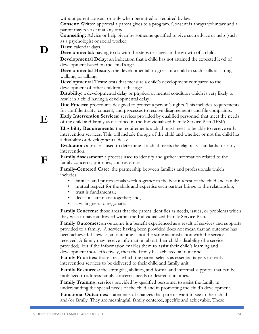without parent consent or only when permitted or required by law.

**Consent:** Written approval a parent gives to a program. Consent is always voluntary and a parent may revoke it at any time.

**Counseling:** Advice or help given by someone qualified to give such advice or help (such as a psychologist or social worker).

**D Days:** calendar days.

**E**

**F**

**Developmental:** having to do with the steps or stages in the growth of a child.

**Developmental Delay:** an indication that a child has not attained the expected level of development based on the child's age.

**Developmental History:** the developmental progress of a child in such skills as sitting, walking, or talking.

**Developmental Tests:** tests that measure a child's development compared to the development of other children at that age.

**Disability:** a developmental delay or physical or mental condition which is very likely to result in a child having a developmental delay.

**Due Process:** procedures designed to protect a person's rights. This includes requirements for confidentiality, consent, and processes to resolve disagreements and file complaints.

**Early Intervention Services:** services provided by qualified personnel that meet the needs of the child and family as described in the Individualized Family Service Plan (IFSP).

**Eligibility Requirements:** the requirements a child must meet to be able to receive early intervention services. This will include the age of the child and whether or not the child has a disability or developmental delay.

**Evaluation:** a process used to determine if a child meets the eligibility standards for early intervention.

**Family Assessment:** a process used to identify and gather information related to the family concerns, priorities, and resources.

**Family-Centered Care:** the partnership between families and professionals which includes:

- families and professionals work together in the best interest of the child and family;
- mutual respect for the skills and expertise each partner brings to the relationship;
- trust is fundamental;
- decisions are made together; and,
- a willingness to negotiate.

**Family Concerns:** those areas that the parent identifies as needs, issues, or problems which they wish to have addressed within the Individualized Family Service Plan.

**Family Outcomes:** an outcome is a benefit experienced as a result of services and supports provided to a family. A service having been provided does not mean that an outcome has been achieved. Likewise, an outcome is not the same as satisfaction with the services received. A family may receive information about their child's disability (the service provided), but if the information enables them to assist their child's learning and development more effectively, then the family has achieved an outcome.

**Family Priorities:** those areas which the parent selects as essential targets for early intervention services to be delivered to their child and family unit.

**Family Resources:** the strengths, abilities, and formal and informal supports that can be mobilized to address family concerns, needs or desired outcomes.

**Family Training:** services provided by qualified personnel to assist the family in understanding the special needs of the child and in promoting the child's development.

**Functional Outcomes:** statements of changes that parents want to see in their child and/or family. They are meaningful, family centered, specific and achievable. These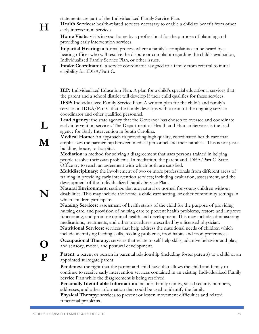statements are part of the Individualized Family Service Plan.

**Health Services:** health-related services necessary to enable a child to benefit from other early intervention services.

**Home Visits:** visits in your home by a professional for the purpose of planning and providing early intervention services.

**Impartial Hearing:** a formal process where a family's complaints can be heard by a hearing officer who will resolve the dispute or complaint regarding the child's evaluation, Individualized Family Service Plan, or other issues.

**Intake Coordinator**: a service coordinator assigned to a family from referral to initial eligibility for IDEA/Part C.

**IEP:** Individualized Education Plan: A plan for a child's special educational services that the parent and a school district will develop if their child qualifies for these services. **IFSP:** Individualized Family Service Plan: A written plan for the child's and family's services in IDEA/Part C that the family develops with a team of the ongoing service coordinator and other qualified personnel.

**Lead Agency:** the state agency that the Governor has chosen to oversee and coordinate early intervention services. The Department of Health and Human Services is the lead agency for Early Intervention in South Carolina.

**Medical Home:** An approach to providing high quality, coordinated health care that emphasizes the partnership between medical personnel and their families. This is not just a building, house, or hospital.

**Mediation:** a method for solving a disagreement that uses persons trained in helping people resolve their own problems. In mediation, the parent and IDEA/Part C State Office try to reach an agreement with which both are satisfied.

**Multidisciplinary:** the involvement of two or more professionals from different areas of training in providing early intervention services; including evaluation, assessment, and the development of the Individualized Family Service Plan.

**Natural Environment:** settings that are natural or normal for young children without disabilities. This may include the home, a child care setting, or other community settings in which children participate.

**Nursing Services:** assessment of health status of the child for the purpose of providing nursing care, and provision of nursing care to prevent health problems, restore and improve functioning, and promote optimal health and development. This may include administering medications, treatments, and other procedures prescribed by a licensed physician. **Nutritional Services:** services that help address the nutritional needs of children which

include identifying feeding skills, feeding problems, food habits and food preferences.

**Occupational Therapy:** services that relate to self-help skills, adaptive behavior and play, and sensory, motor, and postural development.

**Parent:** a parent or person in parental relationship (including foster parents) to a child or an appointed surrogate parent.

**Pendency:** the right that the parent and child have that allows the child and family to continue to receive early intervention services contained in an existing Individualized Family Service Plan while the disagreement is being resolved.

**Personally Identifiable Information:** includes family names, social security numbers, addresses, and other information that could be used to identify the family.

**Physical Therapy:** services to prevent or lessen movement difficulties and related functional problems.

**M**

**L**

**H**

**I**



**O**